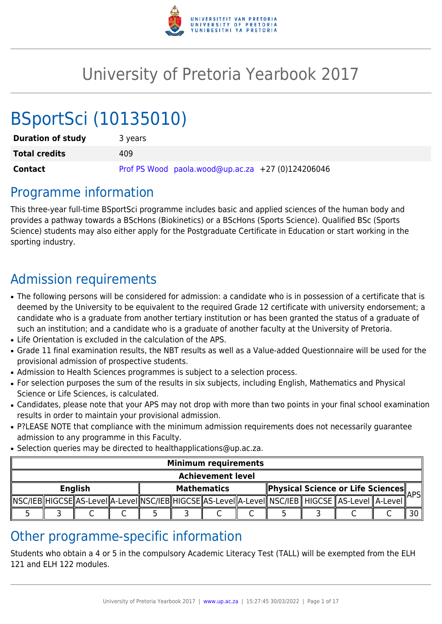

# University of Pretoria Yearbook 2017

# BSportSci (10135010)

| <b>Duration of study</b> | 3 years                                           |
|--------------------------|---------------------------------------------------|
| <b>Total credits</b>     | 409                                               |
| Contact                  | Prof PS Wood paola.wood@up.ac.za +27 (0)124206046 |

## Programme information

This three-year full-time BSportSci programme includes basic and applied sciences of the human body and provides a pathway towards a BScHons (Biokinetics) or a BScHons (Sports Science). Qualified BSc (Sports Science) students may also either apply for the Postgraduate Certificate in Education or start working in the sporting industry.

## Admission requirements

- The following persons will be considered for admission: a candidate who is in possession of a certificate that is deemed by the University to be equivalent to the required Grade 12 certificate with university endorsement; a candidate who is a graduate from another tertiary institution or has been granted the status of a graduate of such an institution; and a candidate who is a graduate of another faculty at the University of Pretoria.
- Life Orientation is excluded in the calculation of the APS.
- Grade 11 final examination results, the NBT results as well as a Value-added Questionnaire will be used for the provisional admission of prospective students.
- Admission to Health Sciences programmes is subject to a selection process.
- For selection purposes the sum of the results in six subjects, including English, Mathematics and Physical Science or Life Sciences, is calculated.
- Candidates, please note that your APS may not drop with more than two points in your final school examination results in order to maintain your provisional admission.
- P?LEASE NOTE that compliance with the minimum admission requirements does not necessarily quarantee admission to any programme in this Faculty.
- Selection queries may be directed to healthapplications@up.ac.za.

|                          | <b>Minimum requirements</b> |  |  |  |                    |  |                                          |                                                                                                                   |  |
|--------------------------|-----------------------------|--|--|--|--------------------|--|------------------------------------------|-------------------------------------------------------------------------------------------------------------------|--|
| <b>Achievement level</b> |                             |  |  |  |                    |  |                                          |                                                                                                                   |  |
| <b>English</b>           |                             |  |  |  | <b>Mathematics</b> |  | <b>Physical Science or Life Sciences</b> | <b>\PSI</b>                                                                                                       |  |
|                          |                             |  |  |  |                    |  |                                          | NSC/IEB  HIGCSE  AS-LeveI  A-LeveI  NSC/IEB  HIGCSE  AS-LeveI  A-LeveI   NSC/IEB    HIGCSE    AS-LeveI    A-LeveI |  |
|                          |                             |  |  |  |                    |  |                                          |                                                                                                                   |  |

## Other programme-specific information

Students who obtain a 4 or 5 in the compulsory Academic Literacy Test (TALL) will be exempted from the ELH 121 and ELH 122 modules.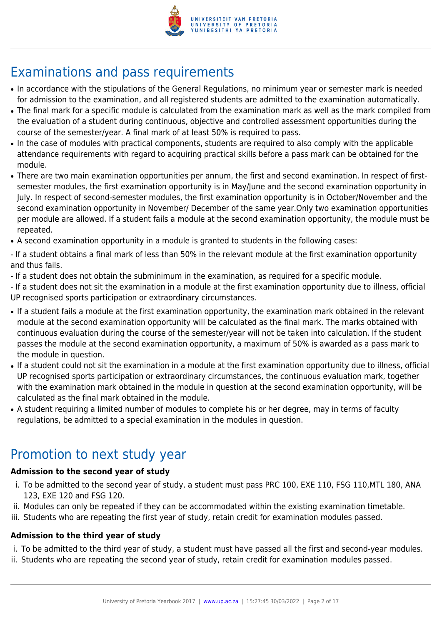

## Examinations and pass requirements

- In accordance with the stipulations of the General Regulations, no minimum year or semester mark is needed for admission to the examination, and all registered students are admitted to the examination automatically.
- The final mark for a specific module is calculated from the examination mark as well as the mark compiled from the evaluation of a student during continuous, objective and controlled assessment opportunities during the course of the semester/year. A final mark of at least 50% is required to pass.
- In the case of modules with practical components, students are required to also comply with the applicable attendance requirements with regard to acquiring practical skills before a pass mark can be obtained for the module.
- There are two main examination opportunities per annum, the first and second examination. In respect of firstsemester modules, the first examination opportunity is in May/June and the second examination opportunity in July. In respect of second-semester modules, the first examination opportunity is in October/November and the second examination opportunity in November/ December of the same year.Only two examination opportunities per module are allowed. If a student fails a module at the second examination opportunity, the module must be repeated.
- A second examination opportunity in a module is granted to students in the following cases:

- If a student obtains a final mark of less than 50% in the relevant module at the first examination opportunity and thus fails.

- If a student does not obtain the subminimum in the examination, as required for a specific module.

- If a student does not sit the examination in a module at the first examination opportunity due to illness, official UP recognised sports participation or extraordinary circumstances.

- If a student fails a module at the first examination opportunity, the examination mark obtained in the relevant module at the second examination opportunity will be calculated as the final mark. The marks obtained with continuous evaluation during the course of the semester/year will not be taken into calculation. If the student passes the module at the second examination opportunity, a maximum of 50% is awarded as a pass mark to the module in question.
- If a student could not sit the examination in a module at the first examination opportunity due to illness, official UP recognised sports participation or extraordinary circumstances, the continuous evaluation mark, together with the examination mark obtained in the module in question at the second examination opportunity, will be calculated as the final mark obtained in the module.
- A student requiring a limited number of modules to complete his or her degree, may in terms of faculty regulations, be admitted to a special examination in the modules in question.

## Promotion to next study year

## **Admission to the second year of study**

- i. To be admitted to the second year of study, a student must pass PRC 100, EXE 110, FSG 110,MTL 180, ANA 123, EXE 120 and FSG 120.
- ii. Modules can only be repeated if they can be accommodated within the existing examination timetable.
- iii. Students who are repeating the first year of study, retain credit for examination modules passed.

## **Admission to the third year of study**

- i. To be admitted to the third year of study, a student must have passed all the first and second-year modules.
- ii. Students who are repeating the second year of study, retain credit for examination modules passed.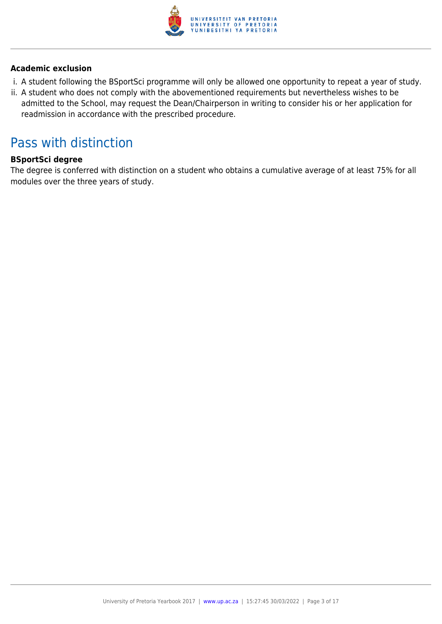

## **Academic exclusion**

- i. A student following the BSportSci programme will only be allowed one opportunity to repeat a year of study.
- ii. A student who does not comply with the abovementioned requirements but nevertheless wishes to be admitted to the School, may request the Dean/Chairperson in writing to consider his or her application for readmission in accordance with the prescribed procedure.

## Pass with distinction

## **BSportSci degree**

The degree is conferred with distinction on a student who obtains a cumulative average of at least 75% for all modules over the three years of study.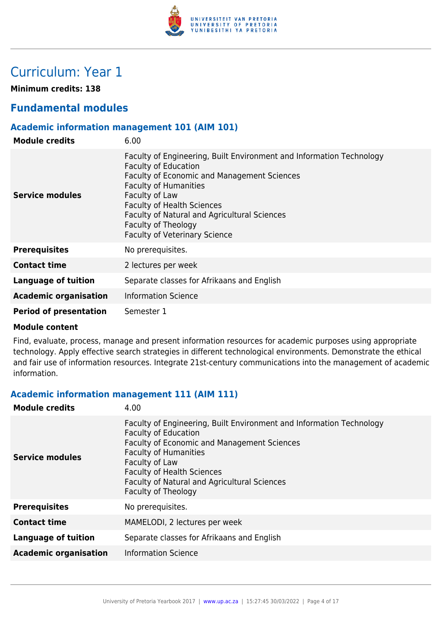

## Curriculum: Year 1

**Minimum credits: 138**

## **Fundamental modules**

## **Academic information management 101 (AIM 101)**

| <b>Module credits</b>         | 6.00                                                                                                                                                                                                                                                                                                                                                     |
|-------------------------------|----------------------------------------------------------------------------------------------------------------------------------------------------------------------------------------------------------------------------------------------------------------------------------------------------------------------------------------------------------|
| Service modules               | Faculty of Engineering, Built Environment and Information Technology<br><b>Faculty of Education</b><br>Faculty of Economic and Management Sciences<br><b>Faculty of Humanities</b><br>Faculty of Law<br><b>Faculty of Health Sciences</b><br>Faculty of Natural and Agricultural Sciences<br>Faculty of Theology<br><b>Faculty of Veterinary Science</b> |
| <b>Prerequisites</b>          | No prerequisites.                                                                                                                                                                                                                                                                                                                                        |
| <b>Contact time</b>           | 2 lectures per week                                                                                                                                                                                                                                                                                                                                      |
| <b>Language of tuition</b>    | Separate classes for Afrikaans and English                                                                                                                                                                                                                                                                                                               |
| <b>Academic organisation</b>  | <b>Information Science</b>                                                                                                                                                                                                                                                                                                                               |
| <b>Period of presentation</b> | Semester 1                                                                                                                                                                                                                                                                                                                                               |

#### **Module content**

Find, evaluate, process, manage and present information resources for academic purposes using appropriate technology. Apply effective search strategies in different technological environments. Demonstrate the ethical and fair use of information resources. Integrate 21st-century communications into the management of academic information.

## **Academic information management 111 (AIM 111)**

| Faculty of Engineering, Built Environment and Information Technology<br><b>Faculty of Education</b><br><b>Faculty of Economic and Management Sciences</b><br><b>Faculty of Humanities</b><br><b>Service modules</b><br>Faculty of Law<br><b>Faculty of Health Sciences</b><br>Faculty of Natural and Agricultural Sciences<br>Faculty of Theology<br><b>Prerequisites</b><br>No prerequisites.<br><b>Contact time</b><br>MAMELODI, 2 lectures per week<br><b>Language of tuition</b><br>Separate classes for Afrikaans and English<br><b>Information Science</b><br><b>Academic organisation</b> | <b>Module credits</b> | 4.00 |
|--------------------------------------------------------------------------------------------------------------------------------------------------------------------------------------------------------------------------------------------------------------------------------------------------------------------------------------------------------------------------------------------------------------------------------------------------------------------------------------------------------------------------------------------------------------------------------------------------|-----------------------|------|
|                                                                                                                                                                                                                                                                                                                                                                                                                                                                                                                                                                                                  |                       |      |
|                                                                                                                                                                                                                                                                                                                                                                                                                                                                                                                                                                                                  |                       |      |
|                                                                                                                                                                                                                                                                                                                                                                                                                                                                                                                                                                                                  |                       |      |
|                                                                                                                                                                                                                                                                                                                                                                                                                                                                                                                                                                                                  |                       |      |
|                                                                                                                                                                                                                                                                                                                                                                                                                                                                                                                                                                                                  |                       |      |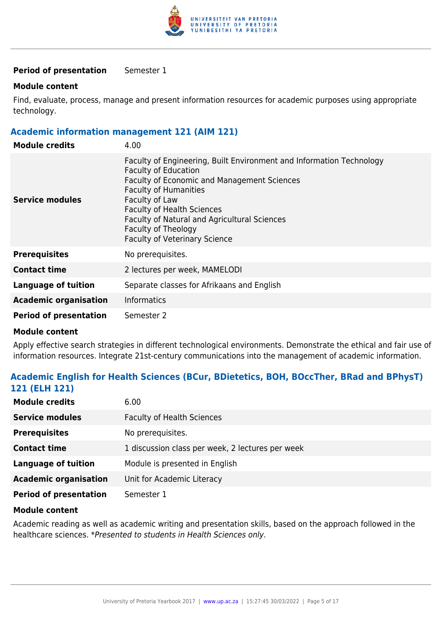

## **Period of presentation** Semester 1

#### **Module content**

Find, evaluate, process, manage and present information resources for academic purposes using appropriate technology.

### **Academic information management 121 (AIM 121)**

| <b>Module credits</b>         | 4.00                                                                                                                                                                                                                                                                                                                                                            |
|-------------------------------|-----------------------------------------------------------------------------------------------------------------------------------------------------------------------------------------------------------------------------------------------------------------------------------------------------------------------------------------------------------------|
| Service modules               | Faculty of Engineering, Built Environment and Information Technology<br><b>Faculty of Education</b><br><b>Faculty of Economic and Management Sciences</b><br><b>Faculty of Humanities</b><br>Faculty of Law<br><b>Faculty of Health Sciences</b><br>Faculty of Natural and Agricultural Sciences<br>Faculty of Theology<br><b>Faculty of Veterinary Science</b> |
| <b>Prerequisites</b>          | No prerequisites.                                                                                                                                                                                                                                                                                                                                               |
| <b>Contact time</b>           | 2 lectures per week, MAMELODI                                                                                                                                                                                                                                                                                                                                   |
| <b>Language of tuition</b>    | Separate classes for Afrikaans and English                                                                                                                                                                                                                                                                                                                      |
| <b>Academic organisation</b>  | <b>Informatics</b>                                                                                                                                                                                                                                                                                                                                              |
| <b>Period of presentation</b> | Semester 2                                                                                                                                                                                                                                                                                                                                                      |

#### **Module content**

Apply effective search strategies in different technological environments. Demonstrate the ethical and fair use of information resources. Integrate 21st-century communications into the management of academic information.

## **Academic English for Health Sciences (BCur, BDietetics, BOH, BOccTher, BRad and BPhysT) 121 (ELH 121)**

| <b>Module credits</b>         | 6.00                                             |
|-------------------------------|--------------------------------------------------|
| <b>Service modules</b>        | <b>Faculty of Health Sciences</b>                |
| <b>Prerequisites</b>          | No prerequisites.                                |
| <b>Contact time</b>           | 1 discussion class per week, 2 lectures per week |
| <b>Language of tuition</b>    | Module is presented in English                   |
| <b>Academic organisation</b>  | Unit for Academic Literacy                       |
| <b>Period of presentation</b> | Semester 1                                       |

#### **Module content**

Academic reading as well as academic writing and presentation skills, based on the approach followed in the healthcare sciences. \*Presented to students in Health Sciences only.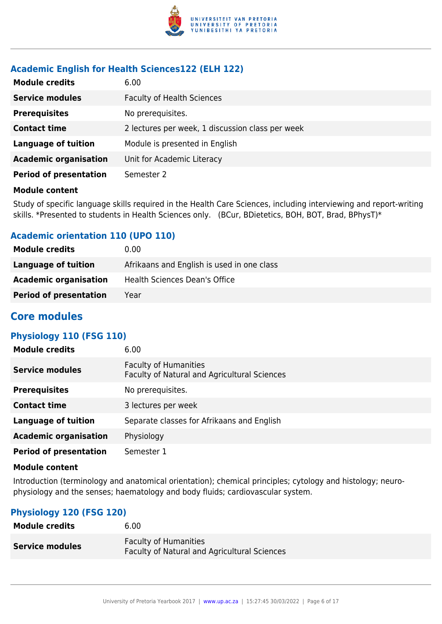

## **Academic English for Health Sciences122 (ELH 122)**

| <b>Module credits</b>         | 6.00                                             |
|-------------------------------|--------------------------------------------------|
| <b>Service modules</b>        | <b>Faculty of Health Sciences</b>                |
| <b>Prerequisites</b>          | No prerequisites.                                |
| <b>Contact time</b>           | 2 lectures per week, 1 discussion class per week |
| <b>Language of tuition</b>    | Module is presented in English                   |
| <b>Academic organisation</b>  | Unit for Academic Literacy                       |
| <b>Period of presentation</b> | Semester 2                                       |

#### **Module content**

Study of specific language skills required in the Health Care Sciences, including interviewing and report-writing skills. \*Presented to students in Health Sciences only. (BCur, BDietetics, BOH, BOT, Brad, BPhysT)\*

## **Academic orientation 110 (UPO 110)**

| <b>Module credits</b>         | 0.00                                       |
|-------------------------------|--------------------------------------------|
| Language of tuition           | Afrikaans and English is used in one class |
| <b>Academic organisation</b>  | Health Sciences Dean's Office              |
| <b>Period of presentation</b> | Year                                       |

## **Core modules**

## **Physiology 110 (FSG 110)**

| <b>Module credits</b>         | 6.00                                                                         |
|-------------------------------|------------------------------------------------------------------------------|
| <b>Service modules</b>        | <b>Faculty of Humanities</b><br>Faculty of Natural and Agricultural Sciences |
| <b>Prerequisites</b>          | No prerequisites.                                                            |
| <b>Contact time</b>           | 3 lectures per week                                                          |
| <b>Language of tuition</b>    | Separate classes for Afrikaans and English                                   |
| <b>Academic organisation</b>  | Physiology                                                                   |
| <b>Period of presentation</b> | Semester 1                                                                   |

#### **Module content**

Introduction (terminology and anatomical orientation); chemical principles; cytology and histology; neurophysiology and the senses; haematology and body fluids; cardiovascular system.

## **Physiology 120 (FSG 120)**

| <b>Module credits</b>  | 6.00                                                                                |
|------------------------|-------------------------------------------------------------------------------------|
| <b>Service modules</b> | <b>Faculty of Humanities</b><br><b>Faculty of Natural and Agricultural Sciences</b> |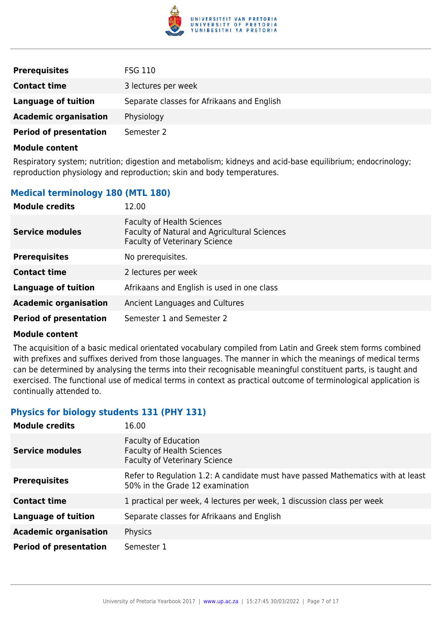

| <b>Prerequisites</b>          | <b>FSG 110</b>                             |
|-------------------------------|--------------------------------------------|
| <b>Contact time</b>           | 3 lectures per week                        |
| Language of tuition           | Separate classes for Afrikaans and English |
| <b>Academic organisation</b>  | Physiology                                 |
| <b>Period of presentation</b> | Semester 2                                 |

Respiratory system; nutrition; digestion and metabolism; kidneys and acid-base equilibrium; endocrinology; reproduction physiology and reproduction; skin and body temperatures.

## **Medical terminology 180 (MTL 180)**

| <b>Module credits</b>         | 12.00                                                                                                                     |
|-------------------------------|---------------------------------------------------------------------------------------------------------------------------|
| <b>Service modules</b>        | <b>Faculty of Health Sciences</b><br>Faculty of Natural and Agricultural Sciences<br><b>Faculty of Veterinary Science</b> |
| <b>Prerequisites</b>          | No prerequisites.                                                                                                         |
| <b>Contact time</b>           | 2 lectures per week                                                                                                       |
| <b>Language of tuition</b>    | Afrikaans and English is used in one class                                                                                |
| <b>Academic organisation</b>  | Ancient Languages and Cultures                                                                                            |
| <b>Period of presentation</b> | Semester 1 and Semester 2                                                                                                 |

#### **Module content**

The acquisition of a basic medical orientated vocabulary compiled from Latin and Greek stem forms combined with prefixes and suffixes derived from those languages. The manner in which the meanings of medical terms can be determined by analysing the terms into their recognisable meaningful constituent parts, is taught and exercised. The functional use of medical terms in context as practical outcome of terminological application is continually attended to.

## **Physics for biology students 131 (PHY 131)**

| <b>Module credits</b>         | 16.00                                                                                                              |
|-------------------------------|--------------------------------------------------------------------------------------------------------------------|
| <b>Service modules</b>        | <b>Faculty of Education</b><br><b>Faculty of Health Sciences</b><br><b>Faculty of Veterinary Science</b>           |
| <b>Prerequisites</b>          | Refer to Regulation 1.2: A candidate must have passed Mathematics with at least<br>50% in the Grade 12 examination |
| <b>Contact time</b>           | 1 practical per week, 4 lectures per week, 1 discussion class per week                                             |
| <b>Language of tuition</b>    | Separate classes for Afrikaans and English                                                                         |
| <b>Academic organisation</b>  | Physics                                                                                                            |
| <b>Period of presentation</b> | Semester 1                                                                                                         |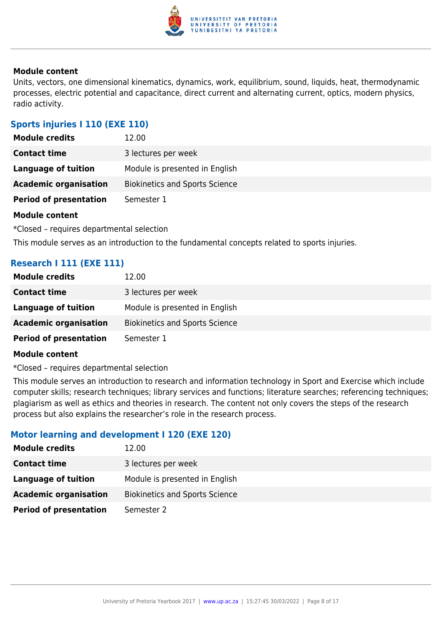

Units, vectors, one dimensional kinematics, dynamics, work, equilibrium, sound, liquids, heat, thermodynamic processes, electric potential and capacitance, direct current and alternating current, optics, modern physics, radio activity.

## **Sports injuries I 110 (EXE 110)**

| <b>Module credits</b>         | 12.00                                 |
|-------------------------------|---------------------------------------|
| <b>Contact time</b>           | 3 lectures per week                   |
| Language of tuition           | Module is presented in English        |
| <b>Academic organisation</b>  | <b>Biokinetics and Sports Science</b> |
| <b>Period of presentation</b> | Semester 1                            |

## **Module content**

\*Closed – requires departmental selection

This module serves as an introduction to the fundamental concepts related to sports injuries.

## **Research I 111 (EXE 111)**

| <b>Module credits</b>         | 12.00                                 |
|-------------------------------|---------------------------------------|
| <b>Contact time</b>           | 3 lectures per week                   |
| Language of tuition           | Module is presented in English        |
| <b>Academic organisation</b>  | <b>Biokinetics and Sports Science</b> |
| <b>Period of presentation</b> | Semester 1                            |

#### **Module content**

\*Closed – requires departmental selection

This module serves an introduction to research and information technology in Sport and Exercise which include computer skills; research techniques; library services and functions; literature searches; referencing techniques; plagiarism as well as ethics and theories in research. The content not only covers the steps of the research process but also explains the researcher's role in the research process.

## **Motor learning and development I 120 (EXE 120)**

| <b>Module credits</b>         | 12.00                                 |
|-------------------------------|---------------------------------------|
| <b>Contact time</b>           | 3 lectures per week                   |
| Language of tuition           | Module is presented in English        |
| <b>Academic organisation</b>  | <b>Biokinetics and Sports Science</b> |
| <b>Period of presentation</b> | Semester 2                            |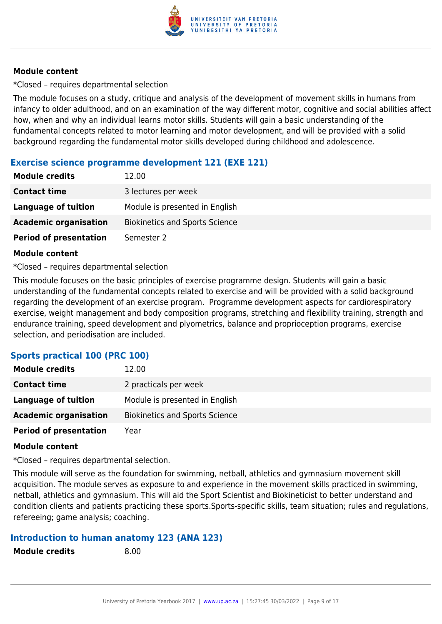

\*Closed – requires departmental selection

The module focuses on a study, critique and analysis of the development of movement skills in humans from infancy to older adulthood, and on an examination of the way different motor, cognitive and social abilities affect how, when and why an individual learns motor skills. Students will gain a basic understanding of the fundamental concepts related to motor learning and motor development, and will be provided with a solid background regarding the fundamental motor skills developed during childhood and adolescence.

## **Exercise science programme development 121 (EXE 121)**

| <b>Module credits</b>         | 12.00                                 |
|-------------------------------|---------------------------------------|
| <b>Contact time</b>           | 3 lectures per week                   |
| <b>Language of tuition</b>    | Module is presented in English        |
| <b>Academic organisation</b>  | <b>Biokinetics and Sports Science</b> |
| <b>Period of presentation</b> | Semester 2                            |

## **Module content**

\*Closed – requires departmental selection

This module focuses on the basic principles of exercise programme design. Students will gain a basic understanding of the fundamental concepts related to exercise and will be provided with a solid background regarding the development of an exercise program. Programme development aspects for cardiorespiratory exercise, weight management and body composition programs, stretching and flexibility training, strength and endurance training, speed development and plyometrics, balance and proprioception programs, exercise selection, and periodisation are included.

## **Sports practical 100 (PRC 100)**

| <b>Module credits</b>         | 12.00                                 |
|-------------------------------|---------------------------------------|
| <b>Contact time</b>           | 2 practicals per week                 |
| Language of tuition           | Module is presented in English        |
| <b>Academic organisation</b>  | <b>Biokinetics and Sports Science</b> |
| <b>Period of presentation</b> | Year                                  |

## **Module content**

\*Closed – requires departmental selection.

This module will serve as the foundation for swimming, netball, athletics and gymnasium movement skill acquisition. The module serves as exposure to and experience in the movement skills practiced in swimming, netball, athletics and gymnasium. This will aid the Sport Scientist and Biokineticist to better understand and condition clients and patients practicing these sports.Sports-specific skills, team situation; rules and regulations, refereeing; game analysis; coaching.

## **Introduction to human anatomy 123 (ANA 123)**

| <b>Module credits</b> |  |
|-----------------------|--|
|-----------------------|--|

**Module credits** 8.00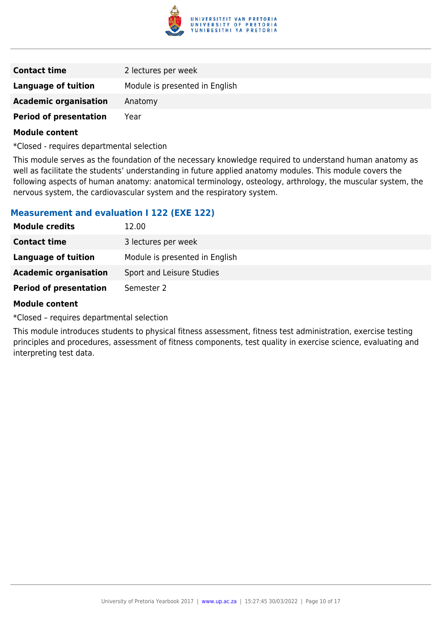

| <b>Contact time</b>           | 2 lectures per week            |
|-------------------------------|--------------------------------|
| Language of tuition           | Module is presented in English |
| <b>Academic organisation</b>  | Anatomy                        |
| <b>Period of presentation</b> | Year                           |

\*Closed - requires departmental selection

This module serves as the foundation of the necessary knowledge required to understand human anatomy as well as facilitate the students' understanding in future applied anatomy modules. This module covers the following aspects of human anatomy: anatomical terminology, osteology, arthrology, the muscular system, the nervous system, the cardiovascular system and the respiratory system.

## **Measurement and evaluation I 122 (EXE 122)**

| <b>Module credits</b>         | 12.00                          |
|-------------------------------|--------------------------------|
| <b>Contact time</b>           | 3 lectures per week            |
| Language of tuition           | Module is presented in English |
| <b>Academic organisation</b>  | Sport and Leisure Studies      |
| <b>Period of presentation</b> | Semester 2                     |

#### **Module content**

\*Closed – requires departmental selection

This module introduces students to physical fitness assessment, fitness test administration, exercise testing principles and procedures, assessment of fitness components, test quality in exercise science, evaluating and interpreting test data.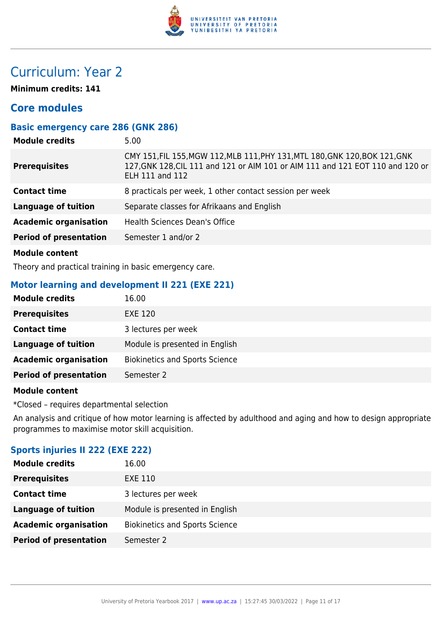

## Curriculum: Year 2

**Minimum credits: 141**

## **Core modules**

## **Basic emergency care 286 (GNK 286)**

| <b>Module credits</b>         | 5.00                                                                                                                                                                                    |
|-------------------------------|-----------------------------------------------------------------------------------------------------------------------------------------------------------------------------------------|
| <b>Prerequisites</b>          | CMY 151, FIL 155, MGW 112, MLB 111, PHY 131, MTL 180, GNK 120, BOK 121, GNK<br>127, GNK 128, CIL 111 and 121 or AIM 101 or AIM 111 and 121 EOT 110 and 120 or<br><b>ELH 111 and 112</b> |
| <b>Contact time</b>           | 8 practicals per week, 1 other contact session per week                                                                                                                                 |
| <b>Language of tuition</b>    | Separate classes for Afrikaans and English                                                                                                                                              |
| <b>Academic organisation</b>  | <b>Health Sciences Dean's Office</b>                                                                                                                                                    |
| <b>Period of presentation</b> | Semester 1 and/or 2                                                                                                                                                                     |
|                               |                                                                                                                                                                                         |

## **Module content**

Theory and practical training in basic emergency care.

## **Motor learning and development II 221 (EXE 221)**

| <b>Module credits</b>         | 16.00                                 |
|-------------------------------|---------------------------------------|
| <b>Prerequisites</b>          | <b>EXE 120</b>                        |
| <b>Contact time</b>           | 3 lectures per week                   |
| <b>Language of tuition</b>    | Module is presented in English        |
| <b>Academic organisation</b>  | <b>Biokinetics and Sports Science</b> |
| <b>Period of presentation</b> | Semester 2                            |

### **Module content**

\*Closed – requires departmental selection

An analysis and critique of how motor learning is affected by adulthood and aging and how to design appropriate programmes to maximise motor skill acquisition.

## **Sports injuries II 222 (EXE 222)**

| <b>Module credits</b>         | 16.00                                 |
|-------------------------------|---------------------------------------|
| <b>Prerequisites</b>          | EXE 110                               |
| <b>Contact time</b>           | 3 lectures per week                   |
| <b>Language of tuition</b>    | Module is presented in English        |
| <b>Academic organisation</b>  | <b>Biokinetics and Sports Science</b> |
| <b>Period of presentation</b> | Semester 2                            |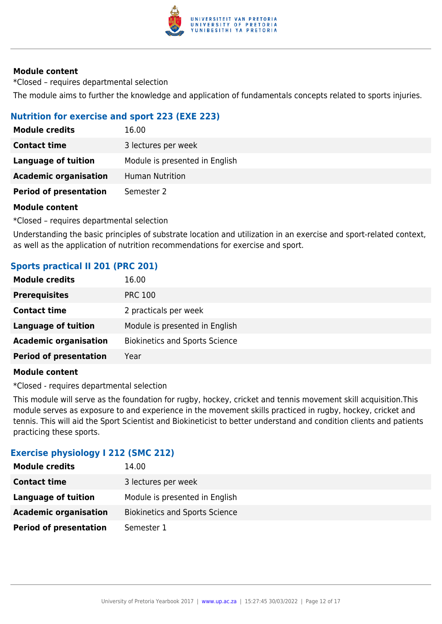

\*Closed – requires departmental selection The module aims to further the knowledge and application of fundamentals concepts related to sports injuries.

## **Nutrition for exercise and sport 223 (EXE 223)**

| <b>Module credits</b>         | 16.00                          |
|-------------------------------|--------------------------------|
| <b>Contact time</b>           | 3 lectures per week            |
| Language of tuition           | Module is presented in English |
| <b>Academic organisation</b>  | <b>Human Nutrition</b>         |
| <b>Period of presentation</b> | Semester 2                     |

## **Module content**

\*Closed – requires departmental selection

Understanding the basic principles of substrate location and utilization in an exercise and sport-related context, as well as the application of nutrition recommendations for exercise and sport.

## **Sports practical II 201 (PRC 201)**

| <b>Module credits</b>         | 16.00                                 |
|-------------------------------|---------------------------------------|
| <b>Prerequisites</b>          | <b>PRC 100</b>                        |
| <b>Contact time</b>           | 2 practicals per week                 |
| <b>Language of tuition</b>    | Module is presented in English        |
| <b>Academic organisation</b>  | <b>Biokinetics and Sports Science</b> |
| <b>Period of presentation</b> | Year                                  |
|                               |                                       |

#### **Module content**

\*Closed - requires departmental selection

This module will serve as the foundation for rugby, hockey, cricket and tennis movement skill acquisition.This module serves as exposure to and experience in the movement skills practiced in rugby, hockey, cricket and tennis. This will aid the Sport Scientist and Biokineticist to better understand and condition clients and patients practicing these sports.

## **Exercise physiology I 212 (SMC 212)**

| 14.00                                 |
|---------------------------------------|
| 3 lectures per week                   |
| Module is presented in English        |
| <b>Biokinetics and Sports Science</b> |
| Semester 1                            |
|                                       |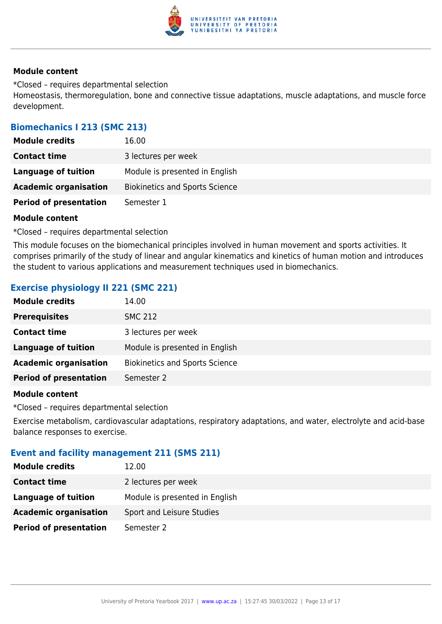

\*Closed – requires departmental selection Homeostasis, thermoregulation, bone and connective tissue adaptations, muscle adaptations, and muscle force development.

## **Biomechanics I 213 (SMC 213)**

| <b>Module credits</b>         | 16.00                                 |
|-------------------------------|---------------------------------------|
| <b>Contact time</b>           | 3 lectures per week                   |
| Language of tuition           | Module is presented in English        |
| <b>Academic organisation</b>  | <b>Biokinetics and Sports Science</b> |
| <b>Period of presentation</b> | Semester 1                            |

#### **Module content**

\*Closed – requires departmental selection

This module focuses on the biomechanical principles involved in human movement and sports activities. It comprises primarily of the study of linear and angular kinematics and kinetics of human motion and introduces the student to various applications and measurement techniques used in biomechanics.

## **Exercise physiology II 221 (SMC 221)**

| <b>Module credits</b>         | 14.00                                 |
|-------------------------------|---------------------------------------|
| <b>Prerequisites</b>          | <b>SMC 212</b>                        |
| <b>Contact time</b>           | 3 lectures per week                   |
| Language of tuition           | Module is presented in English        |
| <b>Academic organisation</b>  | <b>Biokinetics and Sports Science</b> |
| <b>Period of presentation</b> | Semester 2                            |
|                               |                                       |

#### **Module content**

\*Closed – requires departmental selection

Exercise metabolism, cardiovascular adaptations, respiratory adaptations, and water, electrolyte and acid-base balance responses to exercise.

## **Event and facility management 211 (SMS 211)**

| 12.00                          |
|--------------------------------|
| 2 lectures per week            |
| Module is presented in English |
| Sport and Leisure Studies      |
| Semester 2                     |
|                                |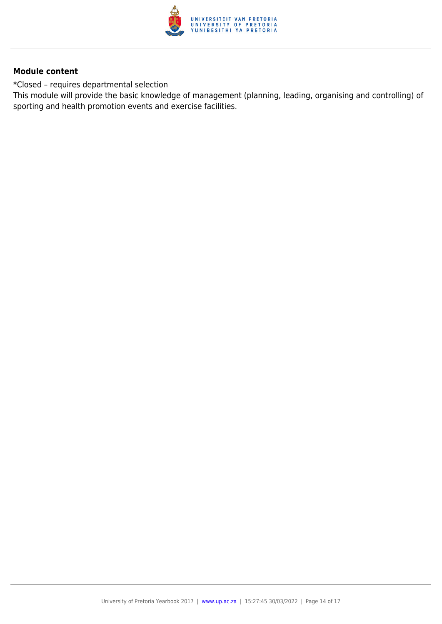

\*Closed – requires departmental selection

This module will provide the basic knowledge of management (planning, leading, organising and controlling) of sporting and health promotion events and exercise facilities.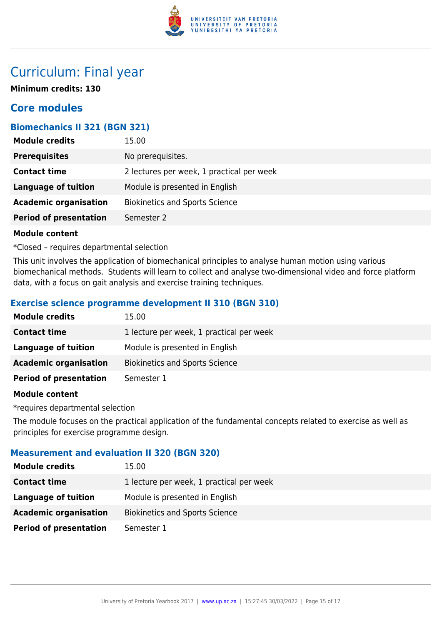

## Curriculum: Final year

**Minimum credits: 130**

## **Core modules**

## **Biomechanics II 321 (BGN 321)**

| <b>Module credits</b>         | 15.00                                     |
|-------------------------------|-------------------------------------------|
| <b>Prerequisites</b>          | No prerequisites.                         |
| <b>Contact time</b>           | 2 lectures per week, 1 practical per week |
| <b>Language of tuition</b>    | Module is presented in English            |
| <b>Academic organisation</b>  | <b>Biokinetics and Sports Science</b>     |
| <b>Period of presentation</b> | Semester 2                                |
|                               |                                           |

## **Module content**

\*Closed – requires departmental selection

This unit involves the application of biomechanical principles to analyse human motion using various biomechanical methods. Students will learn to collect and analyse two-dimensional video and force platform data, with a focus on gait analysis and exercise training techniques.

## **Exercise science programme development II 310 (BGN 310)**

| <b>Module credits</b>         | 15.00                                    |
|-------------------------------|------------------------------------------|
| <b>Contact time</b>           | 1 lecture per week, 1 practical per week |
| Language of tuition           | Module is presented in English           |
| <b>Academic organisation</b>  | <b>Biokinetics and Sports Science</b>    |
| <b>Period of presentation</b> | Semester 1                               |

## **Module content**

\*requires departmental selection

The module focuses on the practical application of the fundamental concepts related to exercise as well as principles for exercise programme design.

## **Measurement and evaluation II 320 (BGN 320)**

| <b>Module credits</b>         | 15.00                                    |
|-------------------------------|------------------------------------------|
| <b>Contact time</b>           | 1 lecture per week, 1 practical per week |
| Language of tuition           | Module is presented in English           |
| <b>Academic organisation</b>  | <b>Biokinetics and Sports Science</b>    |
| <b>Period of presentation</b> | Semester 1                               |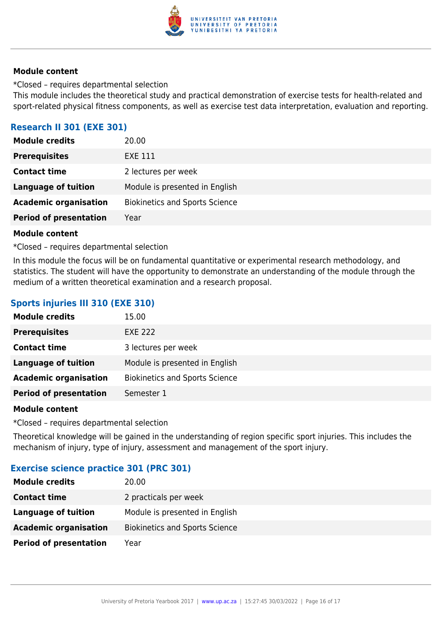

\*Closed – requires departmental selection This module includes the theoretical study and practical demonstration of exercise tests for health-related and sport-related physical fitness components, as well as exercise test data interpretation, evaluation and reporting.

## **Research II 301 (EXE 301)**

| <b>Module credits</b>         | 20.00                                 |
|-------------------------------|---------------------------------------|
| <b>Prerequisites</b>          | EXE 111                               |
| <b>Contact time</b>           | 2 lectures per week                   |
| <b>Language of tuition</b>    | Module is presented in English        |
| <b>Academic organisation</b>  | <b>Biokinetics and Sports Science</b> |
| <b>Period of presentation</b> | Year                                  |
|                               |                                       |

#### **Module content**

\*Closed – requires departmental selection

In this module the focus will be on fundamental quantitative or experimental research methodology, and statistics. The student will have the opportunity to demonstrate an understanding of the module through the medium of a written theoretical examination and a research proposal.

## **Sports injuries III 310 (EXE 310)**

| <b>Module credits</b>         | 15.00                                 |
|-------------------------------|---------------------------------------|
| <b>Prerequisites</b>          | <b>EXE 222</b>                        |
| <b>Contact time</b>           | 3 lectures per week                   |
| Language of tuition           | Module is presented in English        |
| <b>Academic organisation</b>  | <b>Biokinetics and Sports Science</b> |
| <b>Period of presentation</b> | Semester 1                            |

#### **Module content**

\*Closed – requires departmental selection

Theoretical knowledge will be gained in the understanding of region specific sport injuries. This includes the mechanism of injury, type of injury, assessment and management of the sport injury.

## **Exercise science practice 301 (PRC 301)**

| 20.00                                 |
|---------------------------------------|
| 2 practicals per week                 |
| Module is presented in English        |
| <b>Biokinetics and Sports Science</b> |
| Year                                  |
|                                       |